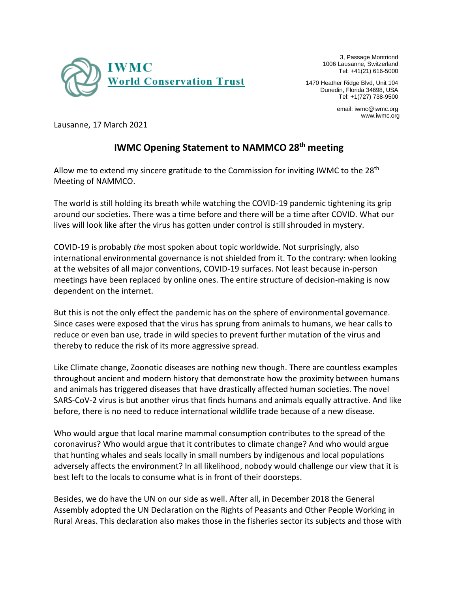

3, Passage Montriond 1006 Lausanne, Switzerland Tel: +41(21) 616-5000

1470 Heather Ridge Blvd, Unit 104 Dunedin, Florida 34698, USA Tel: +1(727) 738-9500

> email: iwmc@iwmc.org www.iwmc.org

Lausanne, 17 March 2021

## **IWMC Opening Statement to NAMMCO 28th meeting**

Allow me to extend my sincere gratitude to the Commission for inviting IWMC to the 28<sup>th</sup> Meeting of NAMMCO.

The world is still holding its breath while watching the COVID-19 pandemic tightening its grip around our societies. There was a time before and there will be a time after COVID. What our lives will look like after the virus has gotten under control is still shrouded in mystery.

COVID-19 is probably *the* most spoken about topic worldwide. Not surprisingly, also international environmental governance is not shielded from it. To the contrary: when looking at the websites of all major conventions, COVID-19 surfaces. Not least because in-person meetings have been replaced by online ones. The entire structure of decision-making is now dependent on the internet.

But this is not the only effect the pandemic has on the sphere of environmental governance. Since cases were exposed that the virus has sprung from animals to humans, we hear calls to reduce or even ban use, trade in wild species to prevent further mutation of the virus and thereby to reduce the risk of its more aggressive spread.

Like Climate change, Zoonotic diseases are nothing new though. There are countless examples throughout ancient and modern history that demonstrate how the proximity between humans and animals has triggered diseases that have drastically affected human societies. The novel SARS-CoV-2 virus is but another virus that finds humans and animals equally attractive. And like before, there is no need to reduce international wildlife trade because of a new disease.

Who would argue that local marine mammal consumption contributes to the spread of the coronavirus? Who would argue that it contributes to climate change? And who would argue that hunting whales and seals locally in small numbers by indigenous and local populations adversely affects the environment? In all likelihood, nobody would challenge our view that it is best left to the locals to consume what is in front of their doorsteps.

Besides, we do have the UN on our side as well. After all, in December 2018 the General Assembly adopted the UN Declaration on the Rights of Peasants and Other People Working in Rural Areas. This declaration also makes those in the fisheries sector its subjects and those with